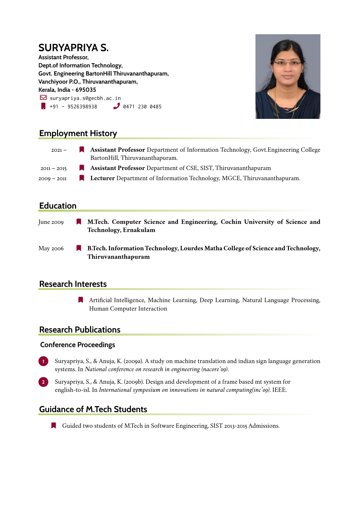# **SURYAPRIYA S.**

**Assistant Professor, Dept.of Information Technology, Govt. Engineering BartonHill Thiruvananthapuram, Vanchiyoor P.O., Thiruvananthapuram, Kerala, India - 695035**  $\boxdot$  suryapriya.s@gecbh.ac.in  $\frac{1}{1}$  +91 - 9526398938  $\frac{1}{2}$  0471 230 0485



### **Employment History**

| $2021 -$      | <b>Assistant Professor</b> Department of Information Technology, Govt. Engineering College |
|---------------|--------------------------------------------------------------------------------------------|
|               | BartonHill, Thiruvananthapuram.                                                            |
| $2011 - 2015$ | <b>Assistant Professor</b> Department of CSE, SIST, Thiruvananthapuram                     |
| $2009 - 2011$ | <b>Lecturer</b> Department of Information Technology, MGCE, Thiruvananthapuram.            |

### **Education**

- June 2009 **N** M.Tech. Computer Science and Engineering, Cochin University of Science and **Technology, Ernakulam**
- May 2006 **R** B.Tech. Information Technology, Lourdes Matha College of Science and Technology, **Thiruvananthapuram**

### **Research Interests**

] Artificial Intelligence, Machine Learning, Deep Learning, Natural Language Processing, Human Computer Interaction

### **Research Publications**

#### **Conference Proceedings**

- **1** Suryapriya, S., & Anuja, K. (2009a). A study on machine translation and indian sign language generation systems. In *National conference on research in engineering (nacore'09)*.
- **2** Suryapriya, S., & Anuja, K. (2009b). Design and development of a frame based mt system for english-to-isl. In *International symposium on innovations in natural computing(inc'09)*. IEEE.

### **Guidance of M.Tech Students**

] Guided two students of M.Tech in Software Engineering, SIST 2013-2015 Admissions.